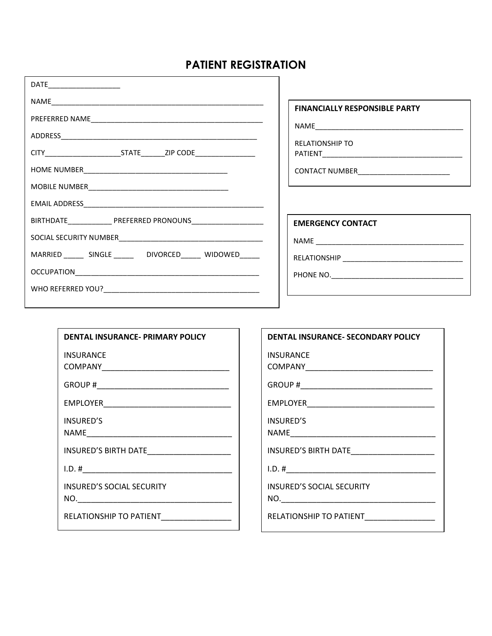## **PATIENT REGISTRATION**

٦Ī.

| DATE_________________________                                 |                                            |
|---------------------------------------------------------------|--------------------------------------------|
|                                                               | <b>FINANCIALLY RESPONSIBLE PARTY</b>       |
|                                                               |                                            |
|                                                               |                                            |
|                                                               | <b>RELATIONSHIP TO</b>                     |
|                                                               |                                            |
|                                                               | CONTACT NUMBER____________________________ |
|                                                               |                                            |
|                                                               |                                            |
|                                                               | <b>EMERGENCY CONTACT</b>                   |
|                                                               |                                            |
| MARRIED _______ SINGLE ________ DIVORCED ______ WIDOWED _____ |                                            |
|                                                               |                                            |
|                                                               |                                            |
|                                                               |                                            |

| DENTAL INSURANCE- PRIMARY POLICY        |
|-----------------------------------------|
| INSURANCE                               |
|                                         |
|                                         |
| <b>INSURED'S</b>                        |
|                                         |
|                                         |
| <b>INSURED'S SOCIAL SECURITY</b><br>NO. |
| RELATIONSHIP TO PATIENT                 |

| <b>DENTAL INSURANCE- SECONDARY POLICY</b>  |
|--------------------------------------------|
| <b>INSURANCE</b>                           |
| COMPANY ________________________           |
|                                            |
|                                            |
| <b>INSURED'S</b>                           |
|                                            |
| INSURED'S BIRTH DATE______________________ |
| 1.D. #                                     |
| <b>INSURED'S SOCIAL SECURITY</b>           |
|                                            |
| RELATIONSHIP TO PATIENT                    |

٦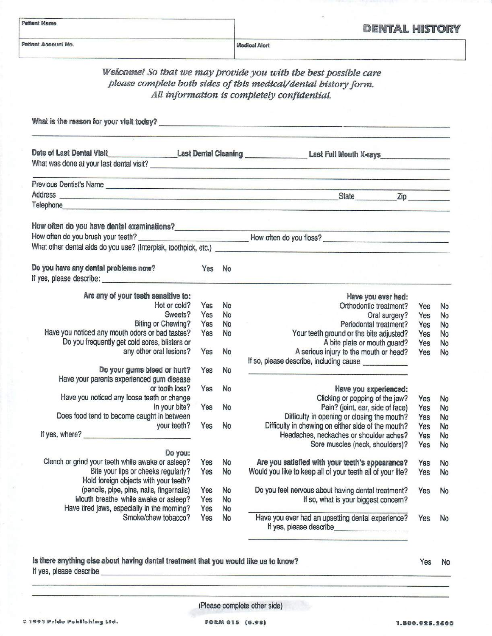| <b>Patient Name</b><br>Patient Account No.                                                                                                                                                                                     |        |    | <b>DENTAL HISTORY</b>                                                                                                                                                                                                                |            |           |  |  |
|--------------------------------------------------------------------------------------------------------------------------------------------------------------------------------------------------------------------------------|--------|----|--------------------------------------------------------------------------------------------------------------------------------------------------------------------------------------------------------------------------------------|------------|-----------|--|--|
|                                                                                                                                                                                                                                |        |    | <b>Medical Alert</b>                                                                                                                                                                                                                 |            |           |  |  |
|                                                                                                                                                                                                                                |        |    | Welcome! So that we may provide you with the best possible care                                                                                                                                                                      |            |           |  |  |
|                                                                                                                                                                                                                                |        |    | please complete both sides of this medical/dental history form.                                                                                                                                                                      |            |           |  |  |
|                                                                                                                                                                                                                                |        |    | All information is completely confidential.                                                                                                                                                                                          |            |           |  |  |
|                                                                                                                                                                                                                                |        |    |                                                                                                                                                                                                                                      |            |           |  |  |
|                                                                                                                                                                                                                                |        |    |                                                                                                                                                                                                                                      |            |           |  |  |
|                                                                                                                                                                                                                                |        |    | What is the reason for your visit today?<br><u> What is the reason for your visit today?</u>                                                                                                                                         |            |           |  |  |
|                                                                                                                                                                                                                                |        |    | Date of Last Dental Visit Last Dental Cleaning Last Communication Last Full Mouth X-rays Late of Last Dental Visit Last Full Mouth X-rays Late of Last Dental Visit Last Full Mouth X-rays Late of Last Dental Visit Last Full       |            |           |  |  |
|                                                                                                                                                                                                                                |        |    |                                                                                                                                                                                                                                      |            |           |  |  |
|                                                                                                                                                                                                                                |        |    | What was done at your last dental visit?                                                                                                                                                                                             |            |           |  |  |
|                                                                                                                                                                                                                                |        |    | <u> 1980 - 1990 - 1990 - 1990 - 1990 - 1990 - 1990 - 1990 - 1990 - 1990 - 1990 - 1990 - 1990 - 1990 - 1990 - 1990 - 1990 - 1990 - 1990 - 1990 - 1990 - 1990 - 1990 - 1990 - 1990 - 1990 - 1990 - 1990 - 1990 - 1990 - 1990 - 199</u> |            |           |  |  |
|                                                                                                                                                                                                                                |        |    | Address State Zip                                                                                                                                                                                                                    |            |           |  |  |
| Telephone experience and the contract of the contract of the contract of the contract of the contract of the contract of the contract of the contract of the contract of the contract of the contract of the contract of the c |        |    |                                                                                                                                                                                                                                      |            |           |  |  |
|                                                                                                                                                                                                                                |        |    |                                                                                                                                                                                                                                      |            |           |  |  |
|                                                                                                                                                                                                                                |        |    | How often do you have dental examinations?<br>How often do you brush your teeth?<br>Mow often do you floss?                                                                                                                          |            |           |  |  |
|                                                                                                                                                                                                                                |        |    |                                                                                                                                                                                                                                      |            |           |  |  |
|                                                                                                                                                                                                                                |        |    |                                                                                                                                                                                                                                      |            |           |  |  |
|                                                                                                                                                                                                                                |        |    |                                                                                                                                                                                                                                      |            |           |  |  |
| Do you have any dental problems now?                                                                                                                                                                                           | Yes No |    |                                                                                                                                                                                                                                      |            |           |  |  |
|                                                                                                                                                                                                                                |        |    |                                                                                                                                                                                                                                      |            |           |  |  |
| Are any of your teeth sensitive to:                                                                                                                                                                                            |        |    | Have you ever had:                                                                                                                                                                                                                   |            |           |  |  |
| Hot or cold?                                                                                                                                                                                                                   | Yes    | No | Orthodontic treatment?                                                                                                                                                                                                               | Yes        | No        |  |  |
| Sweets?                                                                                                                                                                                                                        | Yes    | No | Oral surgery?                                                                                                                                                                                                                        | Yes        | No        |  |  |
| Biting or Chewing?                                                                                                                                                                                                             | Yes    | No | Periodontal treatment?                                                                                                                                                                                                               | Yes        | No        |  |  |
| Have you noticed any mouth odors or bad tastes?                                                                                                                                                                                | Yes    | No | Your teeth ground or the bite adjusted?                                                                                                                                                                                              | Yes        | <b>No</b> |  |  |
| Do you frequently get cold sores, blisters or                                                                                                                                                                                  |        |    | A bite plate or mouth guard?                                                                                                                                                                                                         | Yes        | No        |  |  |
| any other oral lesions?                                                                                                                                                                                                        | Yes    | No | A serious injury to the mouth or head?                                                                                                                                                                                               | Yes        | No        |  |  |
|                                                                                                                                                                                                                                |        |    | If so, please describe, including cause _____________                                                                                                                                                                                |            |           |  |  |
| Do your gums bleed or hurt?                                                                                                                                                                                                    | Yes    | No |                                                                                                                                                                                                                                      |            |           |  |  |
| Have your parents experienced gum disease                                                                                                                                                                                      |        |    |                                                                                                                                                                                                                                      |            |           |  |  |
| or tooth loss?<br>Have you noticed any loose teeth or change                                                                                                                                                                   | Yes    | No | Have you experienced:                                                                                                                                                                                                                |            |           |  |  |
| in your bite?                                                                                                                                                                                                                  | Yes    | No | Clicking or popping of the jaw?<br>Pain? (joint, ear, side of face)                                                                                                                                                                  | Yes<br>Yes | No        |  |  |
| Does food tend to become caught in between                                                                                                                                                                                     |        |    | Difficulty in opening or closing the mouth?                                                                                                                                                                                          | Yes        | No<br>No  |  |  |
| your teeth?                                                                                                                                                                                                                    | Yes    | No | Difficulty in chewing on either side of the mouth?                                                                                                                                                                                   | Yes        | No        |  |  |
| If yes, where?                                                                                                                                                                                                                 |        |    | Headaches, neckaches or shoulder aches?                                                                                                                                                                                              | Yes        | No        |  |  |
|                                                                                                                                                                                                                                |        |    | Sore muscles (neck, shoulders)?                                                                                                                                                                                                      | Yes        | No        |  |  |
| Do you:                                                                                                                                                                                                                        |        |    |                                                                                                                                                                                                                                      |            |           |  |  |
| Clench or grind your teeth while awake or asleep?                                                                                                                                                                              | Yes    | No | Are you satisfied with your teeth's appearance?                                                                                                                                                                                      | Yes        | No        |  |  |
| Bite your lips or cheeks regularly?                                                                                                                                                                                            | Yes    | No | Would you like to keep all of your teeth all of your life?                                                                                                                                                                           | Yes        | No        |  |  |
| Hold foreign objects with your teeth?                                                                                                                                                                                          |        |    |                                                                                                                                                                                                                                      |            |           |  |  |
| (pencils, pipe, pins, nails, fingernails)                                                                                                                                                                                      | Yes    | No | Do you feel nervous about having dental treatment?                                                                                                                                                                                   | Yes        | No        |  |  |
| Mouth breathe while awake or asleep?                                                                                                                                                                                           | Yes    | No | If so, what is your biggest concern?                                                                                                                                                                                                 |            |           |  |  |
| Have tired jaws, especially in the morning?<br>Smoke/chew tobacco?                                                                                                                                                             | Yes    | No | Have you ever had an upsetting dental experience?                                                                                                                                                                                    |            |           |  |  |
|                                                                                                                                                                                                                                | Yes    | No |                                                                                                                                                                                                                                      | Yes        | No        |  |  |

### Is there anything else about having dental treatment that you would like us to know?

Yes No

(Please complete other side)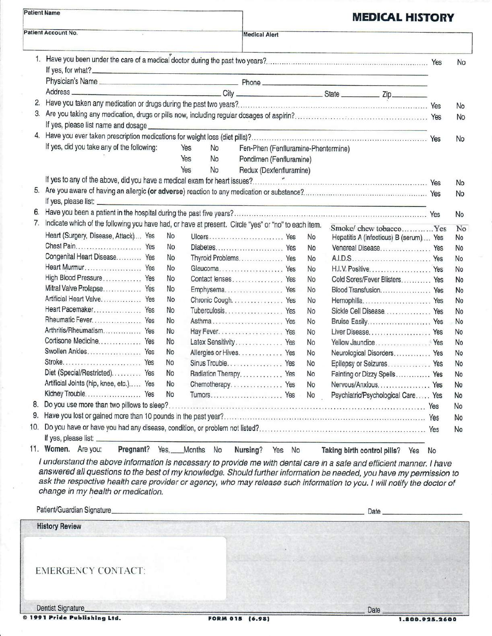|     | <b>Patient Name</b>                                                                                                                                                                                                                            |    |                                     |    | <b>MEDICAL HISTORY</b>                                                                                                                                                                                                         |                |
|-----|------------------------------------------------------------------------------------------------------------------------------------------------------------------------------------------------------------------------------------------------|----|-------------------------------------|----|--------------------------------------------------------------------------------------------------------------------------------------------------------------------------------------------------------------------------------|----------------|
|     | Patient Account No.                                                                                                                                                                                                                            |    | <b>Medical Alert</b>                |    |                                                                                                                                                                                                                                |                |
|     |                                                                                                                                                                                                                                                |    |                                     |    |                                                                                                                                                                                                                                | No             |
|     | If yes, for what?                                                                                                                                                                                                                              |    |                                     |    |                                                                                                                                                                                                                                |                |
|     |                                                                                                                                                                                                                                                |    |                                     |    |                                                                                                                                                                                                                                |                |
| 2.  |                                                                                                                                                                                                                                                |    |                                     |    |                                                                                                                                                                                                                                |                |
| 3.  |                                                                                                                                                                                                                                                |    |                                     |    |                                                                                                                                                                                                                                | No             |
|     |                                                                                                                                                                                                                                                |    |                                     |    |                                                                                                                                                                                                                                | No             |
|     | If yes, please list name and dosage experience and the state of the state of the state of the state of the state of the state of the state of the state of the state of the state of the state of the state of the state of th                 |    |                                     |    |                                                                                                                                                                                                                                |                |
|     | If yes, did you take any of the following:<br>Yes                                                                                                                                                                                              | No | Fen-Phen (Fenfluramine-Phentermine) |    |                                                                                                                                                                                                                                | No             |
|     | Yes                                                                                                                                                                                                                                            | No | Pondimen (Fenfluramine)             |    |                                                                                                                                                                                                                                |                |
|     | Yes                                                                                                                                                                                                                                            | No | Redux (Dexfenfluramine)             |    |                                                                                                                                                                                                                                |                |
|     |                                                                                                                                                                                                                                                |    |                                     |    |                                                                                                                                                                                                                                | <b>No</b>      |
|     |                                                                                                                                                                                                                                                |    |                                     |    |                                                                                                                                                                                                                                | No             |
|     |                                                                                                                                                                                                                                                |    |                                     |    |                                                                                                                                                                                                                                |                |
|     |                                                                                                                                                                                                                                                |    |                                     |    |                                                                                                                                                                                                                                | No             |
| 7.  | Indicate which of the following you have had, or have at present. Circle "yes" or "no" to each item.                                                                                                                                           |    |                                     |    |                                                                                                                                                                                                                                |                |
|     | Heart (Surgery, Disease, Attack) Yes<br>No                                                                                                                                                                                                     |    | Ulcers Yes                          | No | Smoke/chew tobaccoYes<br>Hepatitis A (infectious) B (serum) Yes                                                                                                                                                                | No<br>No       |
|     | No.                                                                                                                                                                                                                                            |    |                                     | No | Venereal Disease Yes                                                                                                                                                                                                           | No             |
|     | Congenital Heart Disease Yes<br>No                                                                                                                                                                                                             |    | Thyroid Problems Yes                | No |                                                                                                                                                                                                                                | No             |
|     | Heart Murmur Yes<br>No.                                                                                                                                                                                                                        |    | Glaucoma Yes                        | No |                                                                                                                                                                                                                                | No             |
|     | High Blood Pressure Yes<br>No                                                                                                                                                                                                                  |    | Contact lenses Yes                  | No | Cold Sores/Fever Blisters Yes                                                                                                                                                                                                  | No             |
|     | Mitral Valve Prolapse Yes<br>No                                                                                                                                                                                                                |    | Emphysema Yes                       | No | Blood Transfusion Yes                                                                                                                                                                                                          | No             |
|     | Artificial Heart Valve Yes<br>No                                                                                                                                                                                                               |    | Chronic Cough. Yes                  | No | Hemophilia Yes                                                                                                                                                                                                                 | No             |
|     | Heart Pacemaker Yes<br>No                                                                                                                                                                                                                      |    | Tuberculosis Yes                    | No | Sickle Cell Disease Yes                                                                                                                                                                                                        | No             |
|     | Rheumatic Fever Yes<br>No                                                                                                                                                                                                                      |    | Asthma Yes                          | No | Bruise Easily Yes                                                                                                                                                                                                              | No             |
|     | Arthritis/Rheumatism Yes<br>No                                                                                                                                                                                                                 |    |                                     | No | Liver Disease Yes                                                                                                                                                                                                              | No             |
|     | Cortisone Medicine Yes<br>No                                                                                                                                                                                                                   |    | Latex Sensitivity Yes               | No | Yellow Jaundice Yes                                                                                                                                                                                                            | No             |
|     | Swollen Ankles Yes<br>No                                                                                                                                                                                                                       |    | Allergies or Hives. Yes             | No | Neurological Disorders Yes                                                                                                                                                                                                     | No             |
|     | No                                                                                                                                                                                                                                             |    | Sinus Trouble Yes                   | No | Epilepsy or Seizures Yes                                                                                                                                                                                                       | N <sub>o</sub> |
|     | Diet (Special/Restricted). Yes<br>No                                                                                                                                                                                                           |    | Radiation Therapy Yes               | No | Fainting or Dizzy Spells Yes                                                                                                                                                                                                   | No             |
|     | Artificial Joints (hip, knee, etc.) Yes<br>No<br>Kidney Trouble Yes                                                                                                                                                                            |    | Chemotherapy Yes                    | No | Nervous/Anxious Yes                                                                                                                                                                                                            | No             |
| 8.  | No                                                                                                                                                                                                                                             |    |                                     | No | Psychiatric/Psychological Care Yes                                                                                                                                                                                             | No             |
| 9.  |                                                                                                                                                                                                                                                |    |                                     |    |                                                                                                                                                                                                                                | No             |
| 10. |                                                                                                                                                                                                                                                |    |                                     |    |                                                                                                                                                                                                                                | No             |
|     |                                                                                                                                                                                                                                                |    |                                     |    |                                                                                                                                                                                                                                | No             |
|     | Pregnant? Yes, Months No<br>11. Women. Are you:                                                                                                                                                                                                |    |                                     |    |                                                                                                                                                                                                                                |                |
|     |                                                                                                                                                                                                                                                |    | Nursing? Yes No                     |    | Taking birth control pills? Yes No                                                                                                                                                                                             |                |
|     | I understand the above information is necessary to provide me with dental care in a safe and efficient manner. I have                                                                                                                          |    |                                     |    |                                                                                                                                                                                                                                |                |
|     | answered all questions to the best of my knowledge. Should further information be needed, you have my permission to<br>ask the respective health care provider or agency, who may release such information to you. I will notify the doctor of |    |                                     |    |                                                                                                                                                                                                                                |                |
|     | change in my health or medication.                                                                                                                                                                                                             |    |                                     |    |                                                                                                                                                                                                                                |                |
|     |                                                                                                                                                                                                                                                |    |                                     |    |                                                                                                                                                                                                                                |                |
|     | Patient/Guardian Signature                                                                                                                                                                                                                     |    |                                     |    | Date experience and the contract of the contract of the contract of the contract of the contract of the contract of the contract of the contract of the contract of the contract of the contract of the contract of the contra |                |
|     | <b>History Review</b>                                                                                                                                                                                                                          |    |                                     |    |                                                                                                                                                                                                                                |                |
|     |                                                                                                                                                                                                                                                |    |                                     |    |                                                                                                                                                                                                                                |                |
|     |                                                                                                                                                                                                                                                |    |                                     |    |                                                                                                                                                                                                                                |                |
|     |                                                                                                                                                                                                                                                |    |                                     |    |                                                                                                                                                                                                                                |                |
|     | <b>EMERGENCY CONTACT:</b>                                                                                                                                                                                                                      |    |                                     |    |                                                                                                                                                                                                                                |                |
|     |                                                                                                                                                                                                                                                |    |                                     |    |                                                                                                                                                                                                                                |                |
|     |                                                                                                                                                                                                                                                |    |                                     |    |                                                                                                                                                                                                                                |                |

Date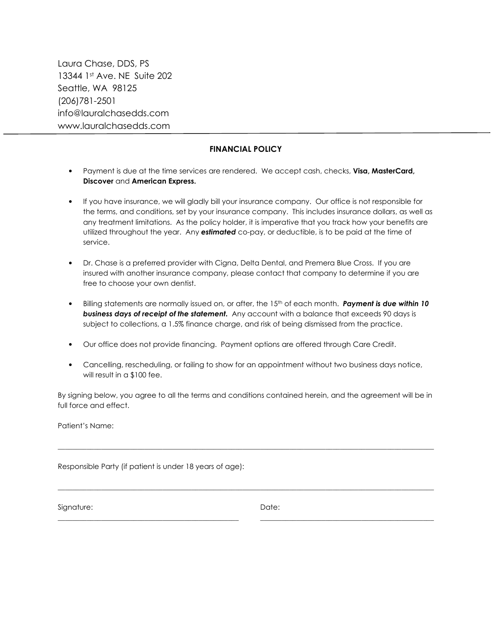Laura Chase, DDS, PS 13344 1st Ave. NE Suite 202 Seattle, WA 98125 (206)781-2501 info@lauralchasedds.com www.lauralchasedds.com

#### **FINANCIAL POLICY**

- Payment is due at the time services are rendered. We accept cash, checks, **Visa, MasterCard, Discover** and **American Express.**
- If you have insurance, we will gladly bill your insurance company. Our office is not responsible for the terms, and conditions, set by your insurance company. This includes insurance dollars, as well as any treatment limitations. As the policy holder, it is imperative that you track how your benefits are utilized throughout the year. Any *estimated* co-pay, or deductible, is to be paid at the time of service.
- Dr. Chase is a preferred provider with Cigna, Delta Dental, and Premera Blue Cross. If you are insured with another insurance company, please contact that company to determine if you are free to choose your own dentist.
- Billing statements are normally issued on, or after, the 15<sup>th</sup> of each month. **Payment is due within 10** *business days of receipt of the statement.* Any account with a balance that exceeds 90 days is subject to collections, a 1.5% finance charge, and risk of being dismissed from the practice.
- Our office does not provide financing. Payment options are offered through Care Credit.
- Cancelling, rescheduling, or failing to show for an appointment without two business days notice, will result in a \$100 fee.

By signing below, you agree to all the terms and conditions contained herein, and the agreement will be in full force and effect.

\_\_\_\_\_\_\_\_\_\_\_\_\_\_\_\_\_\_\_\_\_\_\_\_\_\_\_\_\_\_\_\_\_\_\_\_\_\_\_\_\_\_\_\_\_\_\_\_\_\_\_\_\_\_\_\_\_\_\_\_\_\_\_\_\_\_\_\_\_\_\_\_\_\_\_\_\_\_\_\_\_\_\_\_\_\_\_\_\_\_\_\_\_\_\_\_\_\_\_\_\_\_\_\_

\_\_\_\_\_\_\_\_\_\_\_\_\_\_\_\_\_\_\_\_\_\_\_\_\_\_\_\_\_\_\_\_\_\_\_\_\_\_\_\_\_\_\_\_\_\_\_\_\_\_\_\_\_\_\_\_\_\_\_\_\_\_\_\_\_\_\_\_\_\_\_\_\_\_\_\_\_\_\_\_\_\_\_\_\_\_\_\_\_\_\_\_\_\_\_\_\_\_\_\_\_\_\_\_

\_\_\_\_\_\_\_\_\_\_\_\_\_\_\_\_\_\_\_\_\_\_\_\_\_\_\_\_\_\_\_\_\_\_\_\_\_\_\_\_\_\_\_\_\_\_\_\_\_\_ \_\_\_\_\_\_\_\_\_\_\_\_\_\_\_\_\_\_\_\_\_\_\_\_\_\_\_\_\_\_\_\_\_\_\_\_\_\_\_\_\_\_\_\_\_\_\_\_

Patient's Name:

Responsible Party (if patient is under 18 years of age):

Signature: Date: Date: Date: Date: Date: Date: Date: Date: Date: Date: Date: Date: Date: Date: Date: Date: Date:  $\sim$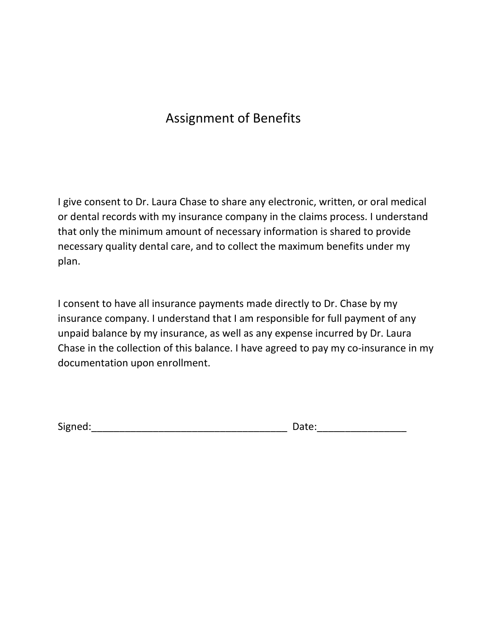# Assignment of Benefits

I give consent to Dr. Laura Chase to share any electronic, written, or oral medical or dental records with my insurance company in the claims process. I understand that only the minimum amount of necessary information is shared to provide necessary quality dental care, and to collect the maximum benefits under my plan.

I consent to have all insurance payments made directly to Dr. Chase by my insurance company. I understand that I am responsible for full payment of any unpaid balance by my insurance, as well as any expense incurred by Dr. Laura Chase in the collection of this balance. I have agreed to pay my co-insurance in my documentation upon enrollment.

Signed:\_\_\_\_\_\_\_\_\_\_\_\_\_\_\_\_\_\_\_\_\_\_\_\_\_\_\_\_\_\_\_\_\_\_\_ Date:\_\_\_\_\_\_\_\_\_\_\_\_\_\_\_\_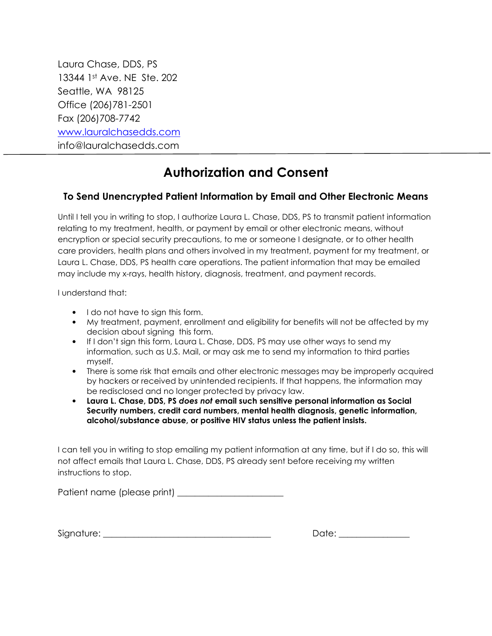Laura Chase, DDS, PS 13344 1st Ave. NE Ste. 202 Seattle, WA 98125 Office (206)781-2501 Fax (206)708-7742 www.lauralchasedds.com info@lauralchasedds.com

## **Authorization and Consent**

### **To Send Unencrypted Patient Information by Email and Other Electronic Means**

Until I tell you in writing to stop, I authorize Laura L. Chase, DDS, PS to transmit patient information relating to my treatment, health, or payment by email or other electronic means, without encryption or special security precautions, to me or someone I designate, or to other health care providers, health plans and others involved in my treatment, payment for my treatment, or Laura L. Chase, DDS, PS health care operations. The patient information that may be emailed may include my x-rays, health history, diagnosis, treatment, and payment records.

I understand that:

- I do not have to sign this form.
- My treatment, payment, enrollment and eligibility for benefits will not be affected by my decision about signing this form.
- If I don't sign this form, Laura L. Chase, DDS, PS may use other ways to send my information, such as U.S. Mail, or may ask me to send my information to third parties myself.
- There is some risk that emails and other electronic messages may be improperly acquired by hackers or received by unintended recipients. If that happens, the information may be redisclosed and no longer protected by privacy law.
- **Laura L. Chase, DDS, PS** *does not* **email such sensitive personal information as Social Security numbers, credit card numbers, mental health diagnosis, genetic information, alcohol/substance abuse, or positive HIV status unless the patient insists.**

I can tell you in writing to stop emailing my patient information at any time, but if I do so, this will not affect emails that Laura L. Chase, DDS, PS already sent before receiving my written instructions to stop.

Patient name (please print) \_\_\_\_\_\_\_\_\_\_\_\_\_\_\_\_\_\_\_\_\_\_\_\_

Signature: \_\_\_\_\_\_\_\_\_\_\_\_\_\_\_\_\_\_\_\_\_\_\_\_\_\_\_\_\_\_\_\_\_\_\_\_\_\_ Date: \_\_\_\_\_\_\_\_\_\_\_\_\_\_\_\_